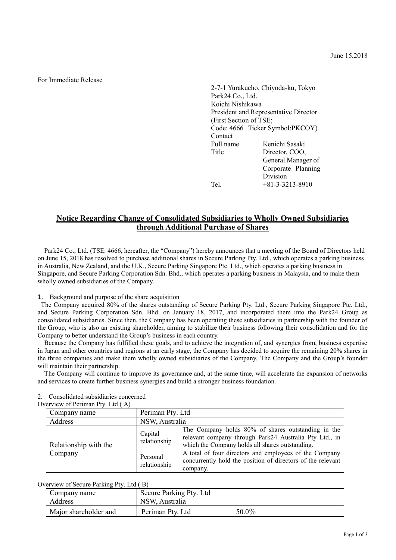For Immediate Release

2-7-1 Yurakucho, Chiyoda-ku, Tokyo Park24 Co., Ltd. Koichi Nishikawa President and Representative Director (First Section of TSE; Code: 4666 Ticker Symbol:PKCOY) **Contact** Full name Kenichi Sasaki Title Director, COO, General Manager of Corporate Planning Division Tel.  $+81-3-3213-8910$ 

# **Notice Regarding Change of Consolidated Subsidiaries to Wholly Owned Subsidiaries through Additional Purchase of Shares**

Park24 Co., Ltd. (TSE: 4666, hereafter, the "Company") hereby announces that a meeting of the Board of Directors held on June 15, 2018 has resolved to purchase additional shares in Secure Parking Pty. Ltd., which operates a parking business in Australia, New Zealand, and the U.K., Secure Parking Singapore Pte. Ltd., which operates a parking business in Singapore, and Secure Parking Corporation Sdn. Bhd., which operates a parking business in Malaysia, and to make them wholly owned subsidiaries of the Company.

1. Background and purpose of the share acquisition

The Company acquired 80% of the shares outstanding of Secure Parking Pty. Ltd., Secure Parking Singapore Pte. Ltd., and Secure Parking Corporation Sdn. Bhd. on January 18, 2017, and incorporated them into the Park24 Group as consolidated subsidiaries. Since then, the Company has been operating these subsidiaries in partnership with the founder of the Group, who is also an existing shareholder, aiming to stabilize their business following their consolidation and for the Company to better understand the Group's business in each country.

Because the Company has fulfilled these goals, and to achieve the integration of, and synergies from, business expertise in Japan and other countries and regions at an early stage, the Company has decided to acquire the remaining 20% shares in the three companies and make them wholly owned subsidiaries of the Company. The Company and the Group's founder will maintain their partnership.

The Company will continue to improve its governance and, at the same time, will accelerate the expansion of networks and services to create further business synergies and build a stronger business foundation.

| veiview of Fermian Fty. Lui (A) |                          |                                                                                                                                                                 |  |  |
|---------------------------------|--------------------------|-----------------------------------------------------------------------------------------------------------------------------------------------------------------|--|--|
| Company name                    |                          | Periman Pty. Ltd                                                                                                                                                |  |  |
| Address                         | NSW, Australia           |                                                                                                                                                                 |  |  |
| Relationship with the           | Capital<br>relationship  | The Company holds 80% of shares outstanding in the<br>relevant company through Park24 Australia Pty Ltd., in<br>which the Company holds all shares outstanding. |  |  |
| Company                         | Personal<br>relationship | A total of four directors and employees of the Company<br>concurrently hold the position of directors of the relevant<br>company.                               |  |  |

#### 2. Consolidated subsidiaries concerned Overview of Periman Pty. Ltd ( A)

|  | Overview of Secure Parking Pty. Ltd (B) |  |  |
|--|-----------------------------------------|--|--|
|  |                                         |  |  |

| Company name          | Secure Parking Pty. Ltd. |          |
|-----------------------|--------------------------|----------|
| Address               | NSW, Australia           |          |
| Major shareholder and | Periman Pty. Ltd         | $50.0\%$ |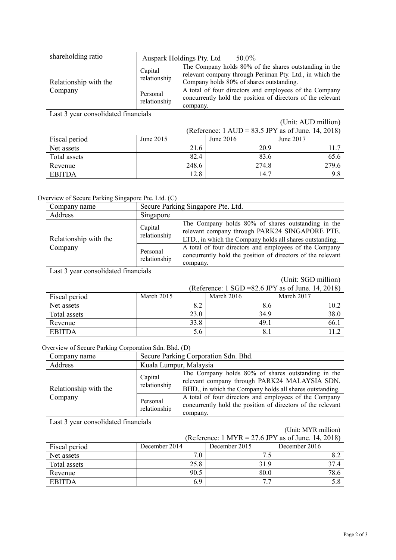| shareholding ratio                                                   | Auspark Holdings Pty. Ltd |                                                                                                                                                                | 50.0%     |           |  |
|----------------------------------------------------------------------|---------------------------|----------------------------------------------------------------------------------------------------------------------------------------------------------------|-----------|-----------|--|
| Relationship with the                                                | Capital<br>relationship   | The Company holds 80% of the shares outstanding in the<br>relevant company through Periman Pty. Ltd., in which the<br>Company holds 80% of shares outstanding. |           |           |  |
| Company                                                              | Personal<br>relationship  | A total of four directors and employees of the Company<br>concurrently hold the position of directors of the relevant<br>company.                              |           |           |  |
| Last 3 year consolidated financials                                  |                           |                                                                                                                                                                |           |           |  |
| (Unit: AUD million)                                                  |                           |                                                                                                                                                                |           |           |  |
| (Reference: $1 \text{ AUD} = 83.5 \text{ JPY}$ as of June. 14, 2018) |                           |                                                                                                                                                                |           |           |  |
| Fiscal period                                                        | June 2015                 |                                                                                                                                                                | June 2016 | June 2017 |  |
| Net assets                                                           |                           | 21.6                                                                                                                                                           | 20.9      | 11.7      |  |
| Total assets                                                         |                           | 82.4                                                                                                                                                           | 83.6      | 65.6      |  |
| Revenue                                                              |                           | 248.6                                                                                                                                                          | 274.8     | 279.6     |  |
| <b>EBITDA</b>                                                        |                           | 12.8                                                                                                                                                           | 14.7      | 9.8       |  |

### Overview of Secure Parking Singapore Pte. Ltd. (C)

| Company name                        | Secure Parking Singapore Pte. Ltd. |      |                                                                                                                                                                  |            |  |
|-------------------------------------|------------------------------------|------|------------------------------------------------------------------------------------------------------------------------------------------------------------------|------------|--|
| Address                             | Singapore                          |      |                                                                                                                                                                  |            |  |
| Relationship with the               | Capital<br>relationship            |      | The Company holds 80% of shares outstanding in the<br>relevant company through PARK24 SINGAPORE PTE.<br>LTD., in which the Company holds all shares outstanding. |            |  |
| Company                             | Personal<br>relationship           |      | A total of four directors and employees of the Company<br>concurrently hold the position of directors of the relevant<br>company.                                |            |  |
| Last 3 year consolidated financials |                                    |      |                                                                                                                                                                  |            |  |
| (Unit: SGD million)                 |                                    |      |                                                                                                                                                                  |            |  |
|                                     |                                    |      | (Reference: 1 SGD = 82.6 JPY as of June. 14, 2018)                                                                                                               |            |  |
| Fiscal period                       | March 2015                         |      | March 2016                                                                                                                                                       | March 2017 |  |
| Net assets                          |                                    | 8.2  | 8.6                                                                                                                                                              | 10.2       |  |
| Total assets                        |                                    | 23.0 | 34.9                                                                                                                                                             | 38.0       |  |
| Revenue                             |                                    | 33.8 | 49.1                                                                                                                                                             | 66.1       |  |
| <b>EBITDA</b>                       |                                    | 5.6  | 8.1                                                                                                                                                              | 11.2       |  |

Overview of Secure Parking Corporation Sdn. Bhd. (D)

| Company name                                                                        | Secure Parking Corporation Sdn. Bhd. |                                                                                                                                                                 |  |  |
|-------------------------------------------------------------------------------------|--------------------------------------|-----------------------------------------------------------------------------------------------------------------------------------------------------------------|--|--|
| Address                                                                             |                                      | Kuala Lumpur, Malaysia                                                                                                                                          |  |  |
| Relationship with the                                                               | Capital<br>relationship              | The Company holds 80% of shares outstanding in the<br>relevant company through PARK24 MALAYSIA SDN.<br>BHD., in which the Company holds all shares outstanding. |  |  |
| Company                                                                             | Personal<br>relationship             | A total of four directors and employees of the Company<br>concurrently hold the position of directors of the relevant<br>company.                               |  |  |
| Last 3 year consolidated financials<br>$(I\left  \text{init:} \right  NVD$ million) |                                      |                                                                                                                                                                 |  |  |

|               |               |                                                                      | (UNIU: MYK MIIIION) |
|---------------|---------------|----------------------------------------------------------------------|---------------------|
|               |               | (Reference: $1 \text{ MYR} = 27.6 \text{ JPY}$ as of June. 14, 2018) |                     |
| Fiscal period | December 2014 | December 2015                                                        | December 2016       |
| Net assets    | 7.0           |                                                                      |                     |
| Total assets  | 25.8          | 319                                                                  | 374                 |
| Revenue       | 90.5          | 80.0                                                                 | 78.6                |
| <b>EBITDA</b> | 6.9           | 77                                                                   |                     |